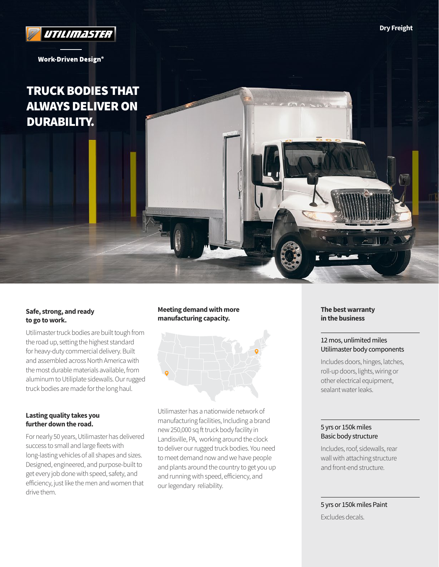

**Work-Driven Design®** 

# TRUCK BODIES THAT ALWAYS DELIVER ON DURABILITY.

# **Safe, strong, and ready to go to work.**

Utilimaster truck bodies are built tough from the road up, setting the highest standard for heavy-duty commercial delivery. Built and assembled across North America with the most durable materials available, from aluminum to Utiliplate sidewalls. Our rugged truck bodies are made for the long haul.

## **Lasting quality takes you further down the road.**

For nearly 50 years, Utilimaster has delivered success to small and large fleets with long-lasting vehicles of all shapes and sizes. Designed, engineered, and purpose-built to get every job done with speed, safety, and efficiency, just like the men and women that drive them.

# **Meeting demand with more manufacturing capacity.**



Utilimaster has a nationwide network of manufacturing facilities, Including a brand new 250,000 sq ft truck body facility in Landisville, PA, working around the clock to deliver our rugged truck bodies. You need to meet demand now and we have people and plants around the country to get you up and running with speed, efficiency, and our legendary reliability.

**The best warranty in the business**

# 12 mos, unlimited miles Utilimaster body components

Includes doors, hinges, latches, roll-up doors, lights, wiring or other electrical equipment, sealant water leaks.

# 5 yrs or 150k miles Basic body structure

Includes, roof, sidewalls, rear wall with attaching structure and front-end structure.

5 yrs or 150k miles Paint

Excludes decals.